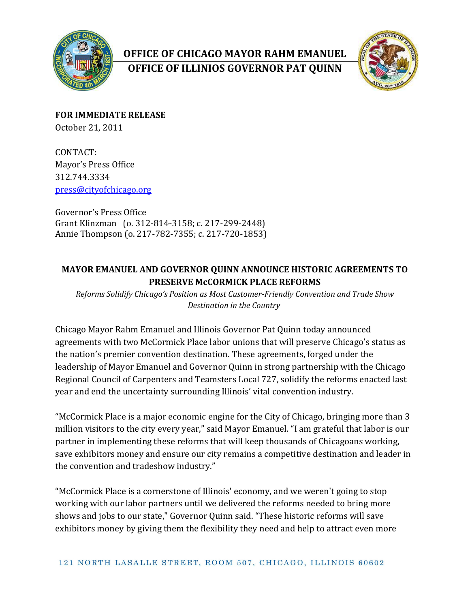

## **OFFICE OF CHICAGO MAYOR RAHM EMANUEL OFFICE OF ILLINIOS GOVERNOR PAT QUINN**



**FOR IMMEDIATE RELEASE** October 21, 2011

CONTACT: Mayor's Press Office 312.744.3334 [press@cityofchicago.org](mailto:press@cityofchicago.org)

Governor's Press Office Grant Klinzman (o. 312-814-3158; c. 217-299-2448) Annie Thompson (o. 217-782-7355; c. 217-720-1853)

## **MAYOR EMANUEL AND GOVERNOR QUINN ANNOUNCE HISTORIC AGREEMENTS TO PRESERVE McCORMICK PLACE REFORMS**

*Reforms Solidify Chicago's Position as Most Customer-Friendly Convention and Trade Show Destination in the Country*

Chicago Mayor Rahm Emanuel and Illinois Governor Pat Quinn today announced agreements with two McCormick Place labor unions that will preserve Chicago's status as the nation's premier convention destination. These agreements, forged under the leadership of Mayor Emanuel and Governor Quinn in strong partnership with the Chicago Regional Council of Carpenters and Teamsters Local 727, solidify the reforms enacted last year and end the uncertainty surrounding Illinois' vital convention industry.

"McCormick Place is a major economic engine for the City of Chicago, bringing more than 3 million visitors to the city every year," said Mayor Emanuel. "I am grateful that labor is our partner in implementing these reforms that will keep thousands of Chicagoans working, save exhibitors money and ensure our city remains a competitive destination and leader in the convention and tradeshow industry."

"McCormick Place is a cornerstone of Illinois' economy, and we weren't going to stop working with our labor partners until we delivered the reforms needed to bring more shows and jobs to our state," Governor Quinn said. "These historic reforms will save exhibitors money by giving them the flexibility they need and help to attract even more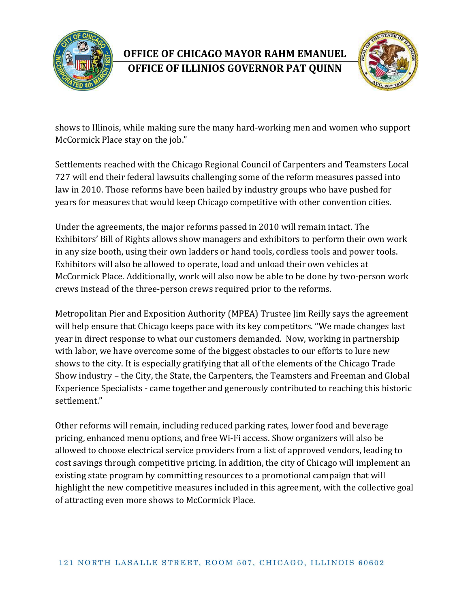

## **OFFICE OF CHICAGO MAYOR RAHM EMANUEL OFFICE OF ILLINIOS GOVERNOR PAT QUINN**



shows to Illinois, while making sure the many hard-working men and women who support McCormick Place stay on the job."

Settlements reached with the Chicago Regional Council of Carpenters and Teamsters Local 727 will end their federal lawsuits challenging some of the reform measures passed into law in 2010. Those reforms have been hailed by industry groups who have pushed for years for measures that would keep Chicago competitive with other convention cities.

Under the agreements, the major reforms passed in 2010 will remain intact. The Exhibitors' Bill of Rights allows show managers and exhibitors to perform their own work in any size booth, using their own ladders or hand tools, cordless tools and power tools. Exhibitors will also be allowed to operate, load and unload their own vehicles at McCormick Place. Additionally, work will also now be able to be done by two-person work crews instead of the three-person crews required prior to the reforms.

Metropolitan Pier and Exposition Authority (MPEA) Trustee Jim Reilly says the agreement will help ensure that Chicago keeps pace with its key competitors. "We made changes last year in direct response to what our customers demanded. Now, working in partnership with labor, we have overcome some of the biggest obstacles to our efforts to lure new shows to the city. It is especially gratifying that all of the elements of the Chicago Trade Show industry – the City, the State, the Carpenters, the Teamsters and Freeman and Global Experience Specialists - came together and generously contributed to reaching this historic settlement."

Other reforms will remain, including reduced parking rates, lower food and beverage pricing, enhanced menu options, and free Wi-Fi access. Show organizers will also be allowed to choose electrical service providers from a list of approved vendors, leading to cost savings through competitive pricing. In addition, the city of Chicago will implement an existing state program by committing resources to a promotional campaign that will highlight the new competitive measures included in this agreement, with the collective goal of attracting even more shows to McCormick Place.